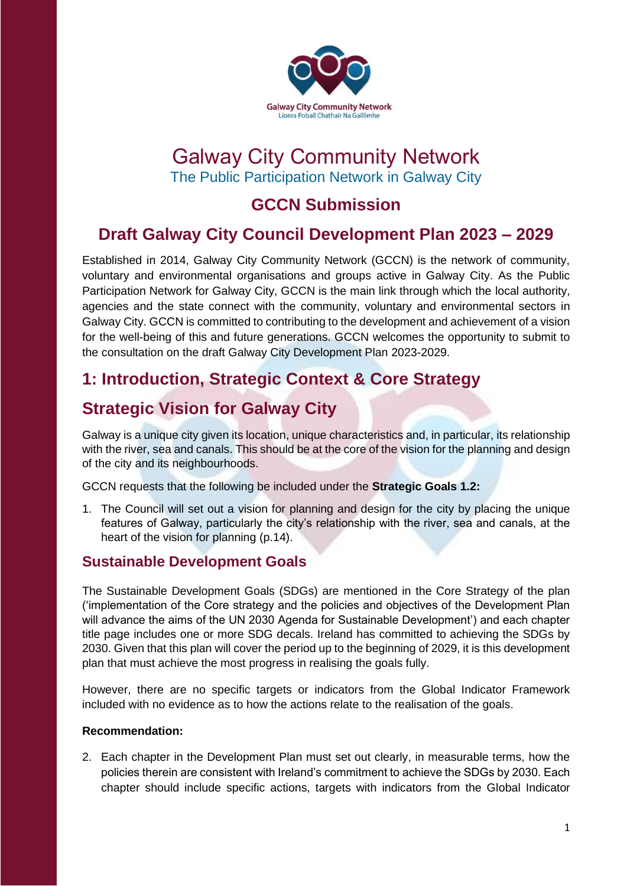

# Galway City Community Network The Public Participation Network in Galway City

# **GCCN Submission**

# **Draft Galway City Council Development Plan 2023 – 2029**

Established in 2014, Galway City Community Network (GCCN) is the network of community, voluntary and environmental organisations and groups active in Galway City. As the Public Participation Network for Galway City, GCCN is the main link through which the local authority, agencies and the state connect with the community, voluntary and environmental sectors in Galway City. GCCN is committed to contributing to the development and achievement of a vision for the well-being of this and future generations. GCCN welcomes the opportunity to submit to the consultation on the draft Galway City Development Plan 2023-2029.

# **1: Introduction, Strategic Context & Core Strategy**

## **Strategic Vision for Galway City**

Galway is a unique city given its location, unique characteristics and, in particular, its relationship with the river, sea and canals. This should be at the core of the vision for the planning and design of the city and its neighbourhoods.

GCCN requests that the following be included under the **Strategic Goals 1.2:**

1. The Council will set out a vision for planning and design for the city by placing the unique features of Galway, particularly the city's relationship with the river, sea and canals, at the heart of the vision for planning (p.14).

## **Sustainable Development Goals**

The Sustainable Development Goals (SDGs) are mentioned in the Core Strategy of the plan ('implementation of the Core strategy and the policies and objectives of the Development Plan will advance the aims of the UN 2030 Agenda for Sustainable Development') and each chapter title page includes one or more SDG decals. Ireland has committed to achieving the SDGs by 2030. Given that this plan will cover the period up to the beginning of 2029, it is this development plan that must achieve the most progress in realising the goals fully.

However, there are no specific targets or indicators from the Global Indicator Framework included with no evidence as to how the actions relate to the realisation of the goals.

### **Recommendation:**

2. Each chapter in the Development Plan must set out clearly, in measurable terms, how the policies therein are consistent with Ireland's commitment to achieve the SDGs by 2030. Each chapter should include specific actions, targets with indicators from the Global Indicator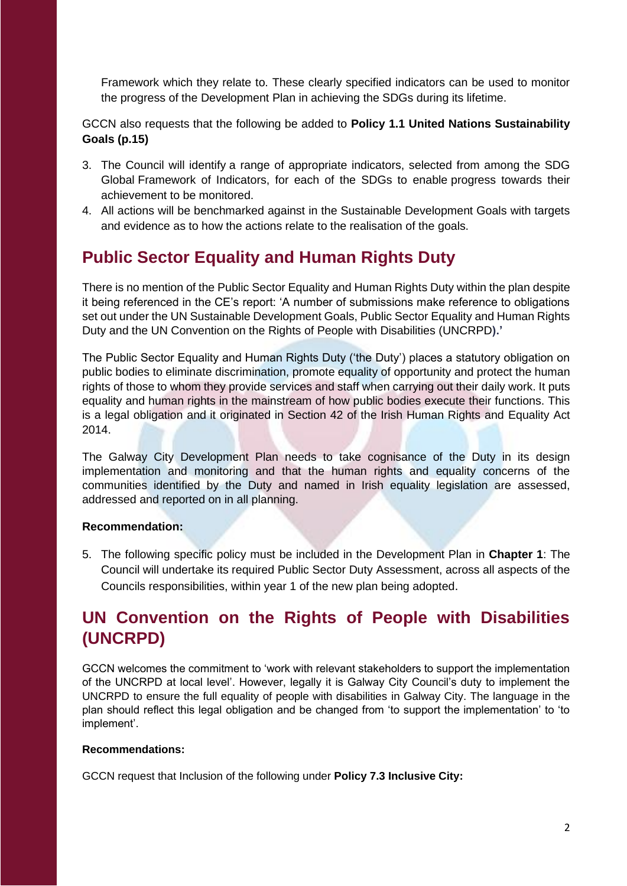Framework which they relate to. These clearly specified indicators can be used to monitor the progress of the Development Plan in achieving the SDGs during its lifetime.

GCCN also requests that the following be added to **Policy 1.1 United Nations Sustainability Goals (p.15)**

- 3. The Council will identify a range of appropriate indicators, selected from among the SDG Global Framework of Indicators, for each of the SDGs to enable progress towards their achievement to be monitored.
- 4. All actions will be benchmarked against in the Sustainable Development Goals with targets and evidence as to how the actions relate to the realisation of the goals.

# **Public Sector Equality and Human Rights Duty**

There is no mention of the Public Sector Equality and Human Rights Duty within the plan despite it being referenced in the CE's report: 'A number of submissions make reference to obligations set out under the UN Sustainable Development Goals, Public Sector Equality and Human Rights Duty and the UN Convention on the Rights of People with Disabilities (UNCRPD**).'**

The Public Sector Equality and Human Rights Duty ('the Duty') places a statutory obligation on public bodies to eliminate discrimination, promote equality of opportunity and protect the human rights of those to whom they provide services and staff when carrying out their daily work. It puts equality and human rights in the mainstream of how public bodies execute their functions. This is a legal obligation and it originated in Section 42 of the Irish Human Rights and Equality Act 2014.

The Galway City Development Plan needs to take cognisance of the Duty in its design implementation and monitoring and that the human rights and equality concerns of the communities identified by the Duty and named in Irish equality legislation are assessed, addressed and reported on in all planning.

### **Recommendation:**

5. The following specific policy must be included in the Development Plan in **Chapter 1**: The Council will undertake its required Public Sector Duty Assessment, across all aspects of the Councils responsibilities, within year 1 of the new plan being adopted.

# **UN Convention on the Rights of People with Disabilities (UNCRPD)**

GCCN welcomes the commitment to 'work with relevant stakeholders to support the implementation of the UNCRPD at local level'. However, legally it is Galway City Council's duty to implement the UNCRPD to ensure the full equality of people with disabilities in Galway City. The language in the plan should reflect this legal obligation and be changed from 'to support the implementation' to 'to implement'.

### **Recommendations:**

GCCN request that Inclusion of the following under **Policy 7.3 Inclusive City:**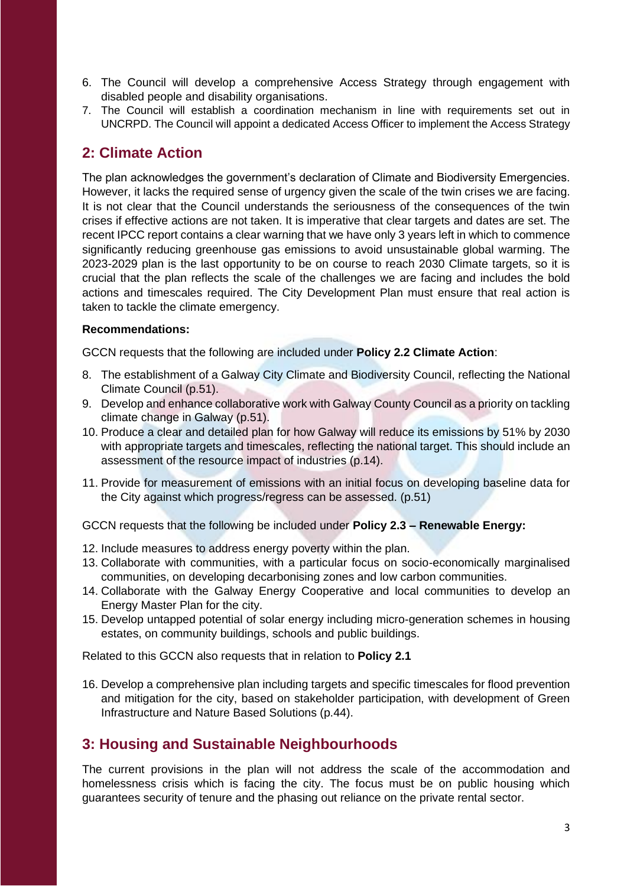- 6. The Council will develop a comprehensive Access Strategy through engagement with disabled people and disability organisations.
- 7. The Council will establish a coordination mechanism in line with requirements set out in UNCRPD. The Council will appoint a dedicated Access Officer to implement the Access Strategy

### **2: Climate Action**

The plan acknowledges the government's declaration of Climate and Biodiversity Emergencies. However, it lacks the required sense of urgency given the scale of the twin crises we are facing. It is not clear that the Council understands the seriousness of the consequences of the twin crises if effective actions are not taken. It is imperative that clear targets and dates are set. The recent IPCC report contains a clear warning that we have only 3 years left in which to commence significantly reducing greenhouse gas emissions to avoid unsustainable global warming. The 2023-2029 plan is the last opportunity to be on course to reach 2030 Climate targets, so it is crucial that the plan reflects the scale of the challenges we are facing and includes the bold actions and timescales required. The City Development Plan must ensure that real action is taken to tackle the climate emergency.

### **Recommendations:**

GCCN requests that the following are included under **Policy 2.2 Climate Action**:

- 8. The establishment of a Galway City Climate and Biodiversity Council, reflecting the National Climate Council (p.51).
- 9. Develop and enhance collaborative work with Galway County Council as a priority on tackling climate change in Galway (p.51).
- 10. Produce a clear and detailed plan for how Galway will reduce its emissions by 51% by 2030 with appropriate targets and timescales, reflecting the national target. This should include an assessment of the resource impact of industries (p.14).
- 11. Provide for measurement of emissions with an initial focus on developing baseline data for the City against which progress/regress can be assessed. (p.51)

GCCN requests that the following be included under **Policy 2.3 – Renewable Energy:**

- 12. Include measures to address energy poverty within the plan.
- 13. Collaborate with communities, with a particular focus on socio-economically marginalised communities, on developing decarbonising zones and low carbon communities.
- 14. Collaborate with the Galway Energy Cooperative and local communities to develop an Energy Master Plan for the city.
- 15. Develop untapped potential of solar energy including micro-generation schemes in housing estates, on community buildings, schools and public buildings.

Related to this GCCN also requests that in relation to **Policy 2.1**

16. Develop a comprehensive plan including targets and specific timescales for flood prevention and mitigation for the city, based on stakeholder participation, with development of Green Infrastructure and Nature Based Solutions (p.44).

### **3: Housing and Sustainable Neighbourhoods**

The current provisions in the plan will not address the scale of the accommodation and homelessness crisis which is facing the city. The focus must be on public housing which guarantees security of tenure and the phasing out reliance on the private rental sector.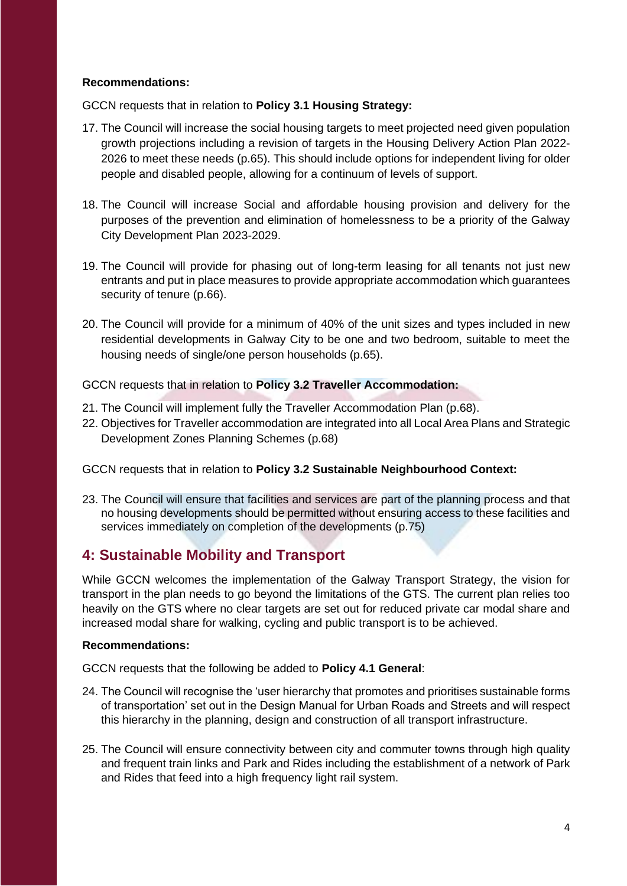### **Recommendations:**

GCCN requests that in relation to **Policy 3.1 Housing Strategy:** 

- 17. The Council will increase the social housing targets to meet projected need given population growth projections including a revision of targets in the Housing Delivery Action Plan 2022- 2026 to meet these needs (p.65). This should include options for independent living for older people and disabled people, allowing for a continuum of levels of support.
- 18. The Council will increase Social and affordable housing provision and delivery for the purposes of the prevention and elimination of homelessness to be a priority of the Galway City Development Plan 2023-2029.
- 19. The Council will provide for phasing out of long-term leasing for all tenants not just new entrants and put in place measures to provide appropriate accommodation which guarantees security of tenure (p.66).
- 20. The Council will provide for a minimum of 40% of the unit sizes and types included in new residential developments in Galway City to be one and two bedroom, suitable to meet the housing needs of single/one person households (p.65).

GCCN requests that in relation to **Policy 3.2 Traveller Accommodation:** 

- 21. The Council will implement fully the Traveller Accommodation Plan (p.68).
- 22. Objectives for Traveller accommodation are integrated into all Local Area Plans and Strategic Development Zones Planning Schemes (p.68)

GCCN requests that in relation to **Policy 3.2 Sustainable Neighbourhood Context:** 

23. The Council will ensure that facilities and services are part of the planning process and that no housing developments should be permitted without ensuring access to these facilities and services immediately on completion of the developments (p.75)

## **4: Sustainable Mobility and Transport**

While GCCN welcomes the implementation of the Galway Transport Strategy, the vision for transport in the plan needs to go beyond the limitations of the GTS. The current plan relies too heavily on the GTS where no clear targets are set out for reduced private car modal share and increased modal share for walking, cycling and public transport is to be achieved.

### **Recommendations:**

GCCN requests that the following be added to **Policy 4.1 General**:

- 24. The Council will recognise the 'user hierarchy that promotes and prioritises sustainable forms of transportation' set out in the Design Manual for Urban Roads and Streets and will respect this hierarchy in the planning, design and construction of all transport infrastructure.
- 25. The Council will ensure connectivity between city and commuter towns through high quality and frequent train links and Park and Rides including the establishment of a network of Park and Rides that feed into a high frequency light rail system.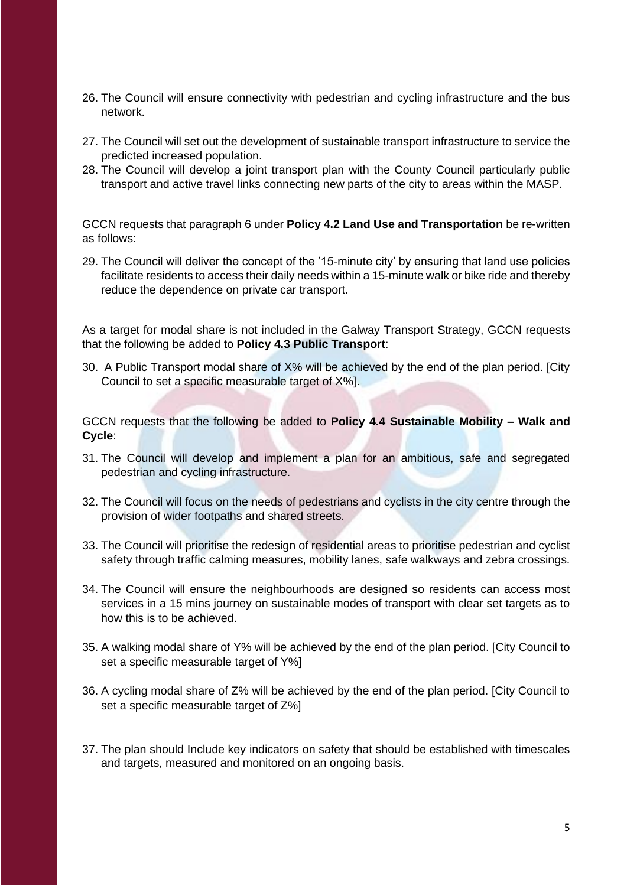- 26. The Council will ensure connectivity with pedestrian and cycling infrastructure and the bus network.
- 27. The Council will set out the development of sustainable transport infrastructure to service the predicted increased population.
- 28. The Council will develop a joint transport plan with the County Council particularly public transport and active travel links connecting new parts of the city to areas within the MASP.

GCCN requests that paragraph 6 under **Policy 4.2 Land Use and Transportation** be re-written as follows:

29. The Council will deliver the concept of the '15-minute city' by ensuring that land use policies facilitate residents to access their daily needs within a 15-minute walk or bike ride and thereby reduce the dependence on private car transport.

As a target for modal share is not included in the Galway Transport Strategy, GCCN requests that the following be added to **Policy 4.3 Public Transport**:

30. A Public Transport modal share of X% will be achieved by the end of the plan period. [City Council to set a specific measurable target of X%].

GCCN requests that the following be added to **Policy 4.4 Sustainable Mobility – Walk and Cycle**:

- 31. The Council will develop and implement a plan for an ambitious, safe and segregated pedestrian and cycling infrastructure.
- 32. The Council will focus on the needs of pedestrians and cyclists in the city centre through the provision of wider footpaths and shared streets.
- 33. The Council will prioritise the redesign of residential areas to prioritise pedestrian and cyclist safety through traffic calming measures, mobility lanes, safe walkways and zebra crossings.
- 34. The Council will ensure the neighbourhoods are designed so residents can access most services in a 15 mins journey on sustainable modes of transport with clear set targets as to how this is to be achieved.
- 35. A walking modal share of Y% will be achieved by the end of the plan period. [City Council to set a specific measurable target of Y%]
- 36. A cycling modal share of Z% will be achieved by the end of the plan period. [City Council to set a specific measurable target of Z%]
- 37. The plan should Include key indicators on safety that should be established with timescales and targets, measured and monitored on an ongoing basis.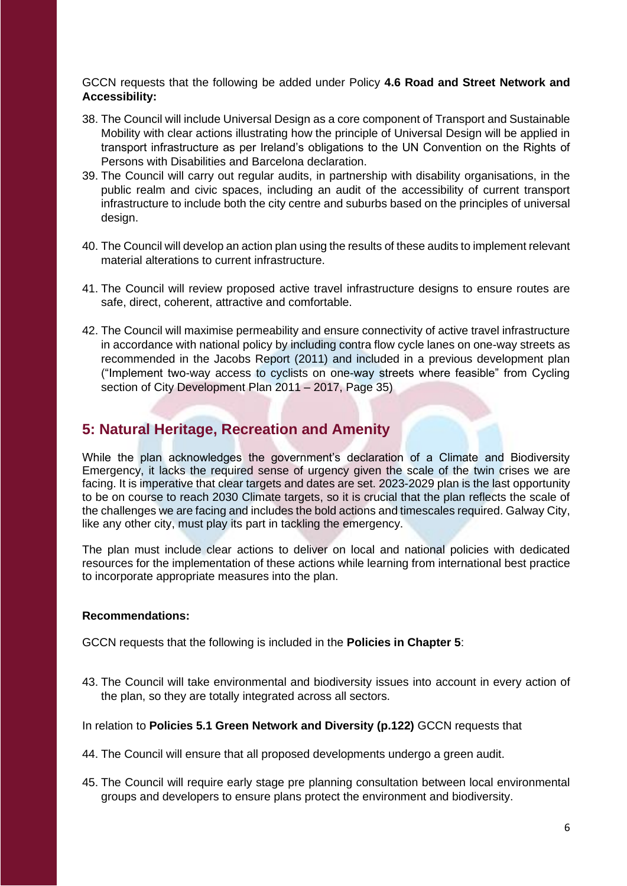GCCN requests that the following be added under Policy **4.6 Road and Street Network and Accessibility:**

- 38. The Council will include Universal Design as a core component of Transport and Sustainable Mobility with clear actions illustrating how the principle of Universal Design will be applied in transport infrastructure as per Ireland's obligations to the UN Convention on the Rights of Persons with Disabilities and Barcelona declaration.
- 39. The Council will carry out regular audits, in partnership with disability organisations, in the public realm and civic spaces, including an audit of the accessibility of current transport infrastructure to include both the city centre and suburbs based on the principles of universal design.
- 40. The Council will develop an action plan using the results of these audits to implement relevant material alterations to current infrastructure.
- 41. The Council will review proposed active travel infrastructure designs to ensure routes are safe, direct, coherent, attractive and comfortable.
- 42. The Council will maximise permeability and ensure connectivity of active travel infrastructure in accordance with national policy by including contra flow cycle lanes on one-way streets as recommended in the Jacobs Report (2011) and included in a previous development plan ("Implement two-way access to cyclists on one-way streets where feasible" from Cycling section of City Development Plan 2011 – 2017, Page 35)

## **5: Natural Heritage, Recreation and Amenity**

While the plan acknowledges the government's declaration of a Climate and Biodiversity Emergency, it lacks the required sense of urgency given the scale of the twin crises we are facing. It is imperative that clear targets and dates are set. 2023-2029 plan is the last opportunity to be on course to reach 2030 Climate targets, so it is crucial that the plan reflects the scale of the challenges we are facing and includes the bold actions and timescales required. Galway City, like any other city, must play its part in tackling the emergency.

The plan must include clear actions to deliver on local and national policies with dedicated resources for the implementation of these actions while learning from international best practice to incorporate appropriate measures into the plan.

### **Recommendations:**

GCCN requests that the following is included in the **Policies in Chapter 5**:

43. The Council will take environmental and biodiversity issues into account in every action of the plan, so they are totally integrated across all sectors.

### In relation to **Policies 5.1 Green Network and Diversity (p.122)** GCCN requests that

- 44. The Council will ensure that all proposed developments undergo a green audit.
- 45. The Council will require early stage pre planning consultation between local environmental groups and developers to ensure plans protect the environment and biodiversity.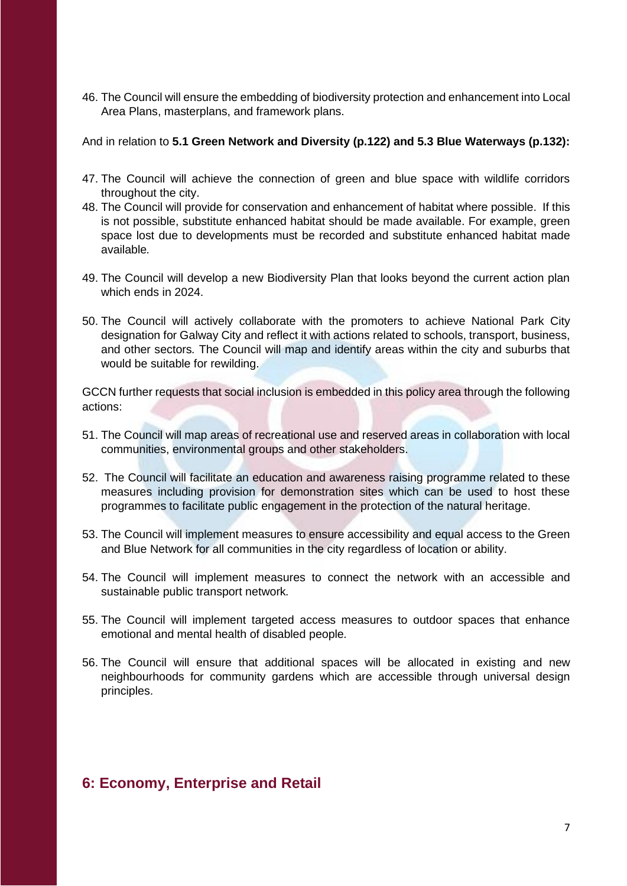46. The Council will ensure the embedding of biodiversity protection and enhancement into Local Area Plans, masterplans, and framework plans.

And in relation to **5.1 Green Network and Diversity (p.122) and 5.3 Blue Waterways (p.132):** 

- 47. The Council will achieve the connection of green and blue space with wildlife corridors throughout the city.
- 48. The Council will provide for conservation and enhancement of habitat where possible. If this is not possible, substitute enhanced habitat should be made available. For example, green space lost due to developments must be recorded and substitute enhanced habitat made available*.*
- 49. The Council will develop a new Biodiversity Plan that looks beyond the current action plan which ends in 2024.
- 50. The Council will actively collaborate with the promoters to achieve National Park City designation for Galway City and reflect it with actions related to schools, transport, business, and other sectors*.* The Council will map and identify areas within the city and suburbs that would be suitable for rewilding.

GCCN further requests that social inclusion is embedded in this policy area through the following actions:

- 51. The Council will map areas of recreational use and reserved areas in collaboration with local communities, environmental groups and other stakeholders.
- 52. The Council will facilitate an education and awareness raising programme related to these measures including provision for demonstration sites which can be used to host these programmes to facilitate public engagement in the protection of the natural heritage.
- 53. The Council will implement measures to ensure accessibility and equal access to the Green and Blue Network for all communities in the city regardless of location or ability.
- 54. The Council will implement measures to connect the network with an accessible and sustainable public transport network*.*
- 55. The Council will implement targeted access measures to outdoor spaces that enhance emotional and mental health of disabled people*.*
- 56. The Council will ensure that additional spaces will be allocated in existing and new neighbourhoods for community gardens which are accessible through universal design principles.

### **6: Economy, Enterprise and Retail**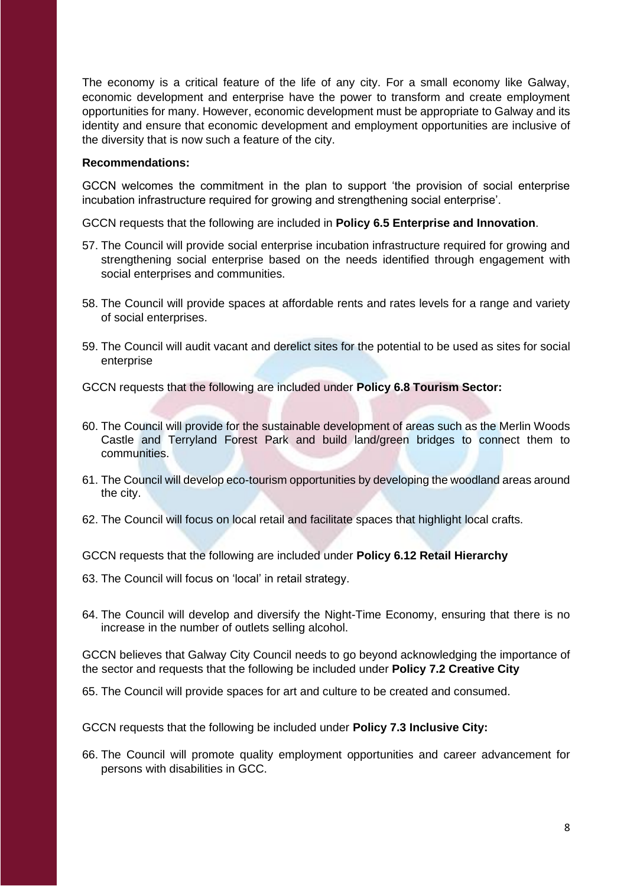The economy is a critical feature of the life of any city. For a small economy like Galway, economic development and enterprise have the power to transform and create employment opportunities for many. However, economic development must be appropriate to Galway and its identity and ensure that economic development and employment opportunities are inclusive of the diversity that is now such a feature of the city.

#### **Recommendations:**

GCCN welcomes the commitment in the plan to support 'the provision of social enterprise incubation infrastructure required for growing and strengthening social enterprise'.

GCCN requests that the following are included in **Policy 6.5 Enterprise and Innovation**.

- 57. The Council will provide social enterprise incubation infrastructure required for growing and strengthening social enterprise based on the needs identified through engagement with social enterprises and communities.
- 58. The Council will provide spaces at affordable rents and rates levels for a range and variety of social enterprises.
- 59. The Council will audit vacant and derelict sites for the potential to be used as sites for social enterprise

GCCN requests that the following are included under **Policy 6.8 Tourism Sector:**

- 60. The Council will provide for the sustainable development of areas such as the Merlin Woods Castle and Terryland Forest Park and build land/green bridges to connect them to communities.
- 61. The Council will develop eco-tourism opportunities by developing the woodland areas around the city.
- 62. The Council will focus on local retail and facilitate spaces that highlight local crafts.

GCCN requests that the following are included under **Policy 6.12 Retail Hierarchy** 

- 63. The Council will focus on 'local' in retail strategy.
- 64. The Council will develop and diversify the Night-Time Economy, ensuring that there is no increase in the number of outlets selling alcohol.

GCCN believes that Galway City Council needs to go beyond acknowledging the importance of the sector and requests that the following be included under **Policy 7.2 Creative City**

65. The Council will provide spaces for art and culture to be created and consumed.

GCCN requests that the following be included under **Policy 7.3 Inclusive City:**

66. The Council will promote quality employment opportunities and career advancement for persons with disabilities in GCC.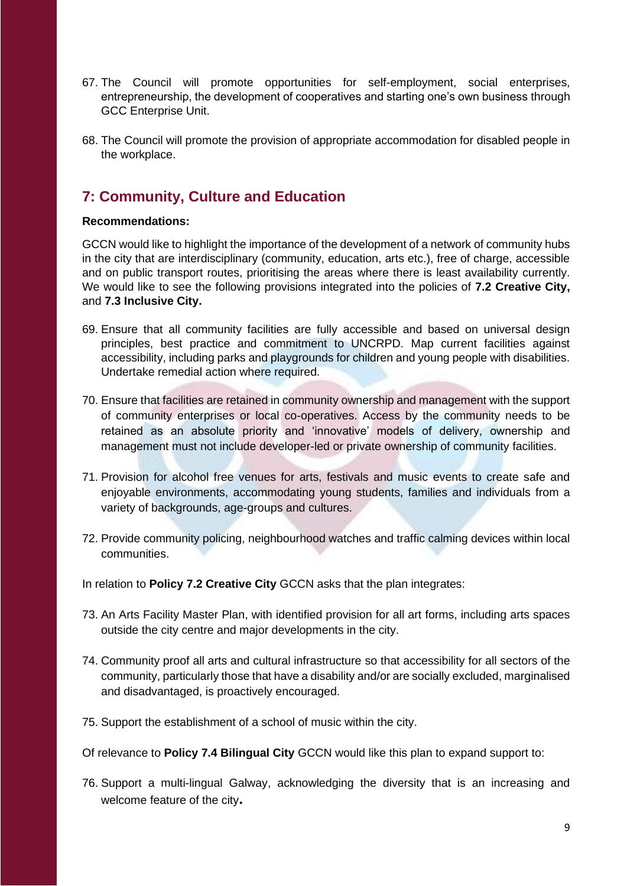- 67. The Council will promote opportunities for self-employment, social enterprises, entrepreneurship, the development of cooperatives and starting one's own business through GCC Enterprise Unit.
- 68. The Council will promote the provision of appropriate accommodation for disabled people in the workplace.

## **7: Community, Culture and Education**

### **Recommendations:**

GCCN would like to highlight the importance of the development of a network of community hubs in the city that are interdisciplinary (community, education, arts etc.), free of charge, accessible and on public transport routes, prioritising the areas where there is least availability currently. We would like to see the following provisions integrated into the policies of **7.2 Creative City,** and **7.3 Inclusive City.**

- 69. Ensure that all community facilities are fully accessible and based on universal design principles, best practice and commitment to UNCRPD. Map current facilities against accessibility, including parks and playgrounds for children and young people with disabilities. Undertake remedial action where required.
- 70. Ensure that facilities are retained in community ownership and management with the support of community enterprises or local co-operatives. Access by the community needs to be retained as an absolute priority and 'innovative' models of delivery, ownership and management must not include developer-led or private ownership of community facilities.
- 71. Provision for alcohol free venues for arts, festivals and music events to create safe and enjoyable environments, accommodating young students, families and individuals from a variety of backgrounds, age-groups and cultures.
- 72. Provide community policing, neighbourhood watches and traffic calming devices within local communities.

In relation to **Policy 7.2 Creative City** GCCN asks that the plan integrates:

- 73. An Arts Facility Master Plan, with identified provision for all art forms, including arts spaces outside the city centre and major developments in the city.
- 74. Community proof all arts and cultural infrastructure so that accessibility for all sectors of the community, particularly those that have a disability and/or are socially excluded, marginalised and disadvantaged, is proactively encouraged.
- 75. Support the establishment of a school of music within the city.
- Of relevance to **Policy 7.4 Bilingual City** GCCN would like this plan to expand support to:
- 76. Support a multi-lingual Galway, acknowledging the diversity that is an increasing and welcome feature of the city**.**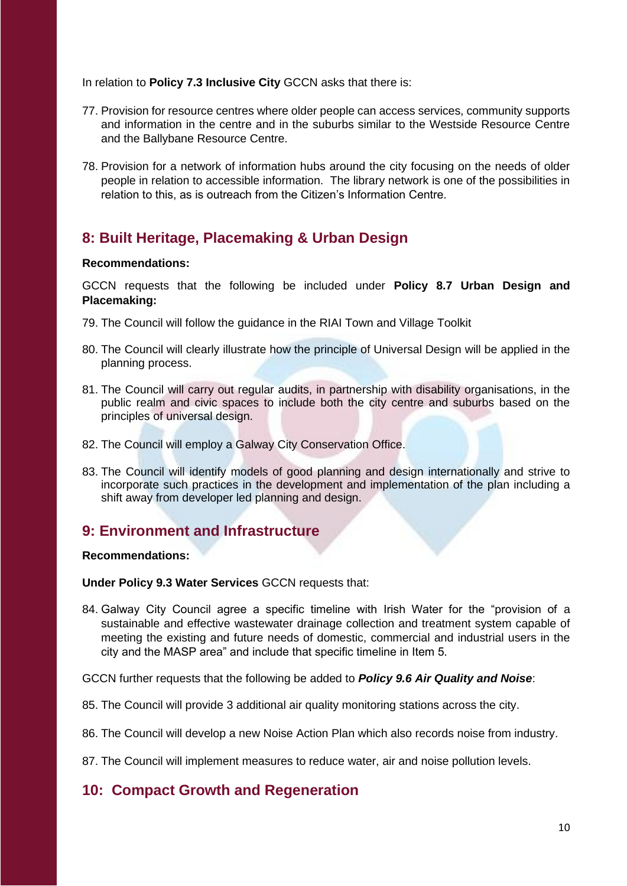In relation to **Policy 7.3 Inclusive City** GCCN asks that there is:

- 77. Provision for resource centres where older people can access services, community supports and information in the centre and in the suburbs similar to the Westside Resource Centre and the Ballybane Resource Centre.
- 78. Provision for a network of information hubs around the city focusing on the needs of older people in relation to accessible information. The library network is one of the possibilities in relation to this, as is outreach from the Citizen's Information Centre.

## **8: Built Heritage, Placemaking & Urban Design**

### **Recommendations:**

GCCN requests that the following be included under **Policy 8.7 Urban Design and Placemaking:**

- 79. The Council will follow the guidance in the RIAI Town and Village Toolkit
- 80. The Council will clearly illustrate how the principle of Universal Design will be applied in the planning process.
- 81. The Council will carry out regular audits, in partnership with disability organisations, in the public realm and civic spaces to include both the city centre and suburbs based on the principles of universal design.
- 82. The Council will employ a Galway City Conservation Office.
- 83. The Council will identify models of good planning and design internationally and strive to incorporate such practices in the development and implementation of the plan including a shift away from developer led planning and design.

### **9: Environment and Infrastructure**

### **Recommendations:**

**Under Policy 9.3 Water Services** GCCN requests that:

84. Galway City Council agree a specific timeline with Irish Water for the "provision of a sustainable and effective wastewater drainage collection and treatment system capable of meeting the existing and future needs of domestic, commercial and industrial users in the city and the MASP area" and include that specific timeline in Item 5.

GCCN further requests that the following be added to *Policy 9.6 Air Quality and Noise*:

- 85. The Council will provide 3 additional air quality monitoring stations across the city.
- 86. The Council will develop a new Noise Action Plan which also records noise from industry.
- 87. The Council will implement measures to reduce water, air and noise pollution levels.

### **10: Compact Growth and Regeneration**